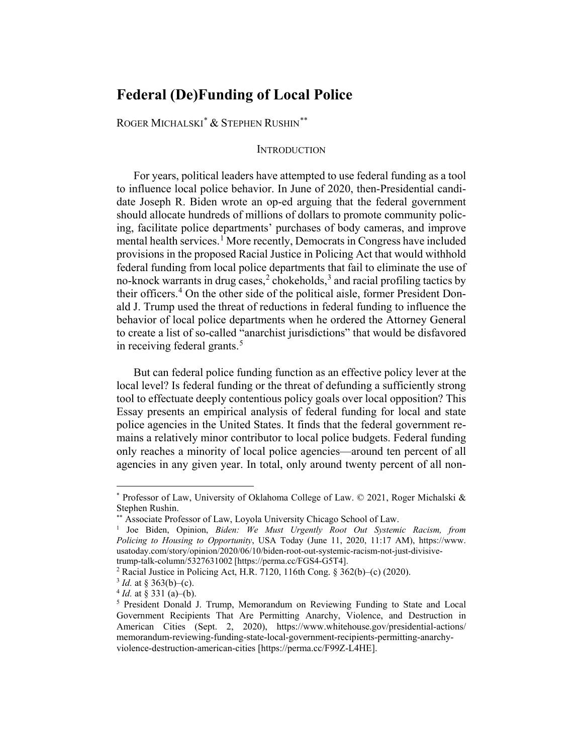# **Federal (De)Funding of Local Police**

ROGER MICHALSKI[\\*](#page-0-0) & STEPHEN RUSHIN[\\*\\*](#page-0-1)

#### INTRODUCTION

For years, political leaders have attempted to use federal funding as a tool to influence local police behavior. In June of 2020, then-Presidential candidate Joseph R. Biden wrote an op-ed arguing that the federal government should allocate hundreds of millions of dollars to promote community policing, facilitate police departments' purchases of body cameras, and improve mental health services.<sup>[1](#page-0-2)</sup> More recently, Democrats in Congress have included provisions in the proposed Racial Justice in Policing Act that would withhold federal funding from local police departments that fail to eliminate the use of no-knock warrants in drug cases,<sup>[2](#page-0-3)</sup> chokeholds,<sup>[3](#page-0-4)</sup> and racial profiling tactics by their officers.<sup>[4](#page-0-5)</sup> On the other side of the political aisle, former President Donald J. Trump used the threat of reductions in federal funding to influence the behavior of local police departments when he ordered the Attorney General to create a list of so-called "anarchist jurisdictions" that would be disfavored in receiving federal grants.<sup>[5](#page-0-6)</sup>

But can federal police funding function as an effective policy lever at the local level? Is federal funding or the threat of defunding a sufficiently strong tool to effectuate deeply contentious policy goals over local opposition? This Essay presents an empirical analysis of federal funding for local and state police agencies in the United States. It finds that the federal government remains a relatively minor contributor to local police budgets. Federal funding only reaches a minority of local police agencies—around ten percent of all agencies in any given year. In total, only around twenty percent of all non-

<span id="page-0-0"></span><sup>\*</sup> Professor of Law, University of Oklahoma College of Law. © 2021, Roger Michalski & Stephen Rushin.<br>\*\* Associate Professor of Law, Loyola University Chicago School of Law.

<span id="page-0-2"></span><span id="page-0-1"></span><sup>&</sup>lt;sup>1</sup> Joe Biden, Opinion, *Biden: We Must Urgently Root Out Systemic Racism, from Policing to Housing to Opportunity*, USA Today (June 11, 2020, 11:17 AM), [https://www.](https://www.usatoday.com/story/opinion/2020/06/10/biden-root-out-systemic-racism-not-just-divisive-trump-talk-column/5327631002) [usatoday.com/story/opinion/2020/06/10/biden-root-out-systemic-racism-not-just-divisive](https://www.usatoday.com/story/opinion/2020/06/10/biden-root-out-systemic-racism-not-just-divisive-trump-talk-column/5327631002)[trump-talk-column/5327631002](https://www.usatoday.com/story/opinion/2020/06/10/biden-root-out-systemic-racism-not-just-divisive-trump-talk-column/5327631002) [\[https://perma.cc/FGS4-G5T4\]](https://perma.cc/FGS4-G5T4).

<span id="page-0-3"></span><sup>&</sup>lt;sup>2</sup> Racial Justice in Policing Act, H.R. 7120, 116th Cong. §  $362(b)$ –(c) (2020).

<span id="page-0-5"></span><span id="page-0-4"></span> $\frac{3}{4}$  *Id.* at § 363(b)–(c).<br> $\frac{4}{4}$  *Id.* at § 331 (a)–(b).

<span id="page-0-6"></span><sup>&</sup>lt;sup>5</sup> President Donald J. Trump, Memorandum on Reviewing Funding to State and Local Government Recipients That Are Permitting Anarchy, Violence, and Destruction in American Cities (Sept. 2, 2020), [https://www.whitehouse.gov/presidential-actions/](https://www.whitehouse.gov/presidential-actions/%0bmemorandum-reviewing-funding-state-local-government-recipients-permitting-anarchy-violence-destruction-american-cities) [memorandum-reviewing-funding-state-local-government-recipients-permitting-anarchy](https://www.whitehouse.gov/presidential-actions/%0bmemorandum-reviewing-funding-state-local-government-recipients-permitting-anarchy-violence-destruction-american-cities)[violence-destruction-american-cities](https://www.whitehouse.gov/presidential-actions/%0bmemorandum-reviewing-funding-state-local-government-recipients-permitting-anarchy-violence-destruction-american-cities) [\[https://perma.cc/F99Z-L4HE\]](https://perma.cc/F99Z-L4HE).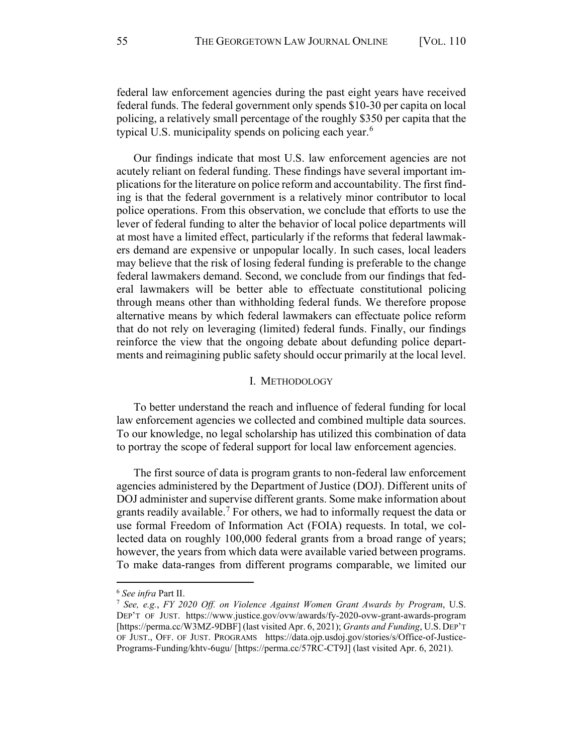federal law enforcement agencies during the past eight years have received federal funds. The federal government only spends \$10-30 per capita on local policing, a relatively small percentage of the roughly \$350 per capita that the typical U.S. municipality spends on policing each year.<sup>[6](#page-1-0)</sup>

Our findings indicate that most U.S. law enforcement agencies are not acutely reliant on federal funding. These findings have several important implications for the literature on police reform and accountability. The first finding is that the federal government is a relatively minor contributor to local police operations. From this observation, we conclude that efforts to use the lever of federal funding to alter the behavior of local police departments will at most have a limited effect, particularly if the reforms that federal lawmakers demand are expensive or unpopular locally. In such cases, local leaders may believe that the risk of losing federal funding is preferable to the change federal lawmakers demand. Second, we conclude from our findings that federal lawmakers will be better able to effectuate constitutional policing through means other than withholding federal funds. We therefore propose alternative means by which federal lawmakers can effectuate police reform that do not rely on leveraging (limited) federal funds. Finally, our findings reinforce the view that the ongoing debate about defunding police departments and reimagining public safety should occur primarily at the local level.

#### I. METHODOLOGY

<span id="page-1-2"></span>To better understand the reach and influence of federal funding for local law enforcement agencies we collected and combined multiple data sources. To our knowledge, no legal scholarship has utilized this combination of data to portray the scope of federal support for local law enforcement agencies.

The first source of data is program grants to non-federal law enforcement agencies administered by the Department of Justice (DOJ). Different units of DOJ administer and supervise different grants. Some make information about grants readily available.<sup>[7](#page-1-1)</sup> For others, we had to informally request the data or use formal Freedom of Information Act (FOIA) requests. In total, we collected data on roughly 100,000 federal grants from a broad range of years; however, the years from which data were available varied between programs. To make data-ranges from different programs comparable, we limited our

<span id="page-1-0"></span><sup>6</sup> *See infra* Part [II.](#page-5-0)

<span id="page-1-1"></span><sup>7</sup> *See, e.g.*, *FY 2020 Off. on Violence Against Women Grant Awards by Program*, U.S. DEP'T OF JUST. <https://www.justice.gov/ovw/awards/fy-2020-ovw-grant-awards-program> [\[https://perma.cc/W3MZ-9DBF\]](https://perma.cc/W3MZ-9DBF) (last visited Apr. 6, 2021); *Grants and Funding*, U.S. DEP'T OF JUST., OFF. OF JUST. PROGRAMS [https://data.ojp.usdoj.gov/stories/s/Office-of-Justice-](https://data.ojp.usdoj.gov/stories/s/Office-of-Justice-Programs-Funding/khtv-6ugu/)[Programs-Funding/khtv-6ugu/](https://data.ojp.usdoj.gov/stories/s/Office-of-Justice-Programs-Funding/khtv-6ugu/) [\[https://perma.cc/57RC-CT9J\]](https://perma.cc/57RC-CT9J) (last visited Apr. 6, 2021).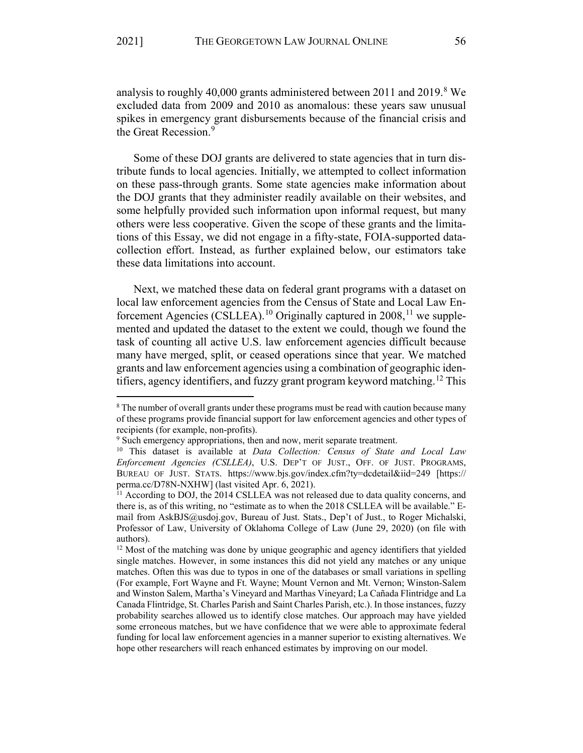analysis to roughly 40,000 grants administered between 2011 and 2019.<sup>[8](#page-2-0)</sup> We excluded data from 2009 and 2010 as anomalous: these years saw unusual spikes in emergency grant disbursements because of the financial crisis and the Great Recession.<sup>[9](#page-2-1)</sup>

Some of these DOJ grants are delivered to state agencies that in turn distribute funds to local agencies. Initially, we attempted to collect information on these pass-through grants. Some state agencies make information about the DOJ grants that they administer readily available on their websites, and some helpfully provided such information upon informal request, but many others were less cooperative. Given the scope of these grants and the limitations of this Essay, we did not engage in a fifty-state, FOIA-supported datacollection effort. Instead, as further explained below, our estimators take these data limitations into account.

Next, we matched these data on federal grant programs with a dataset on local law enforcement agencies from the Census of State and Local Law En-forcement Agencies (CSLLEA).<sup>10</sup> Originally captured in 2008,<sup>[11](#page-2-3)</sup> we supplemented and updated the dataset to the extent we could, though we found the task of counting all active U.S. law enforcement agencies difficult because many have merged, split, or ceased operations since that year. We matched grants and law enforcement agencies using a combination of geographic iden-tifiers, agency identifiers, and fuzzy grant program keyword matching.<sup>[12](#page-2-4)</sup> This

<span id="page-2-0"></span><sup>&</sup>lt;sup>8</sup> The number of overall grants under these programs must be read with caution because many of these programs provide financial support for law enforcement agencies and other types of recipients (for example, non-profits). 9 Such emergency appropriations, then and now, merit separate treatment.

<span id="page-2-2"></span><span id="page-2-1"></span><sup>10</sup> This dataset is available at *Data Collection: Census of State and Local Law Enforcement Agencies (CSLLEA)*, U.S. DEP'T OF JUST., OFF. OF JUST. PROGRAMS, BUREAU OF JUST. STATS. <https://www.bjs.gov/index.cfm?ty=dcdetail&iid=249>[\[https://](https://perma.cc/D78N-NXHW) [perma.cc/D78N-NXHW\]](https://perma.cc/D78N-NXHW) (last visited Apr. 6, 2021).

<span id="page-2-3"></span><sup>&</sup>lt;sup>11</sup> According to DOJ, the 2014 CSLLEA was not released due to data quality concerns, and there is, as of this writing, no "estimate as to when the 2018 CSLLEA will be available." Email from [AskBJS@usdoj.gov,](mailto:AskBJS@usdoj.gov) Bureau of Just. Stats., Dep't of Just., to Roger Michalski, Professor of Law, University of Oklahoma College of Law (June 29, 2020) (on file with

<span id="page-2-4"></span>authors).<br><sup>12</sup> Most of the matching was done by unique geographic and agency identifiers that yielded single matches. However, in some instances this did not yield any matches or any unique matches. Often this was due to typos in one of the databases or small variations in spelling (For example, Fort Wayne and Ft. Wayne; Mount Vernon and Mt. Vernon; Winston-Salem and Winston Salem, Martha's Vineyard and Marthas Vineyard; La Cañada Flintridge and La Canada Flintridge, St. Charles Parish and Saint Charles Parish, etc.). In those instances, fuzzy probability searches allowed us to identify close matches. Our approach may have yielded some erroneous matches, but we have confidence that we were able to approximate federal funding for local law enforcement agencies in a manner superior to existing alternatives. We hope other researchers will reach enhanced estimates by improving on our model.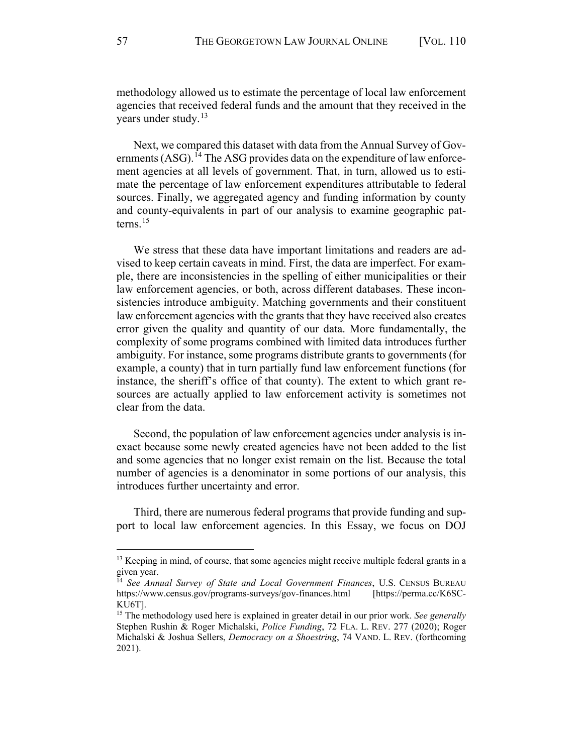methodology allowed us to estimate the percentage of local law enforcement agencies that received federal funds and the amount that they received in the years under study.<sup>13</sup>

Next, we compared this dataset with data from the Annual Survey of Gov-ernments (ASG).<sup>[14](#page-3-1)</sup> The ASG provides data on the expenditure of law enforcement agencies at all levels of government. That, in turn, allowed us to estimate the percentage of law enforcement expenditures attributable to federal sources. Finally, we aggregated agency and funding information by county and county-equivalents in part of our analysis to examine geographic patterns. $15$ 

<span id="page-3-3"></span>We stress that these data have important limitations and readers are advised to keep certain caveats in mind. First, the data are imperfect. For example, there are inconsistencies in the spelling of either municipalities or their law enforcement agencies, or both, across different databases. These inconsistencies introduce ambiguity. Matching governments and their constituent law enforcement agencies with the grants that they have received also creates error given the quality and quantity of our data. More fundamentally, the complexity of some programs combined with limited data introduces further ambiguity. For instance, some programs distribute grants to governments (for example, a county) that in turn partially fund law enforcement functions (for instance, the sheriff's office of that county). The extent to which grant resources are actually applied to law enforcement activity is sometimes not clear from the data.

Second, the population of law enforcement agencies under analysis is inexact because some newly created agencies have not been added to the list and some agencies that no longer exist remain on the list. Because the total number of agencies is a denominator in some portions of our analysis, this introduces further uncertainty and error.

Third, there are numerous federal programs that provide funding and support to local law enforcement agencies. In this Essay, we focus on DOJ

<span id="page-3-0"></span><sup>&</sup>lt;sup>13</sup> Keeping in mind, of course, that some agencies might receive multiple federal grants in a given year.

<span id="page-3-1"></span><sup>14</sup> *See Annual Survey of State and Local Government Finances*, U.S. CENSUS BUREAU <https://www.census.gov/programs-surveys/gov-finances.html>[\[https://perma.cc/K6SC-](https://perma.cc/K6SC-KU6T)[KU6T\]](https://perma.cc/K6SC-KU6T).

<span id="page-3-2"></span><sup>15</sup> The methodology used here is explained in greater detail in our prior work. *See generally*  Stephen Rushin & Roger Michalski, *Police Funding*, 72 FLA. L. REV. 277 (2020); Roger Michalski & Joshua Sellers, *Democracy on a Shoestring*, 74 VAND. L. REV. (forthcoming 2021).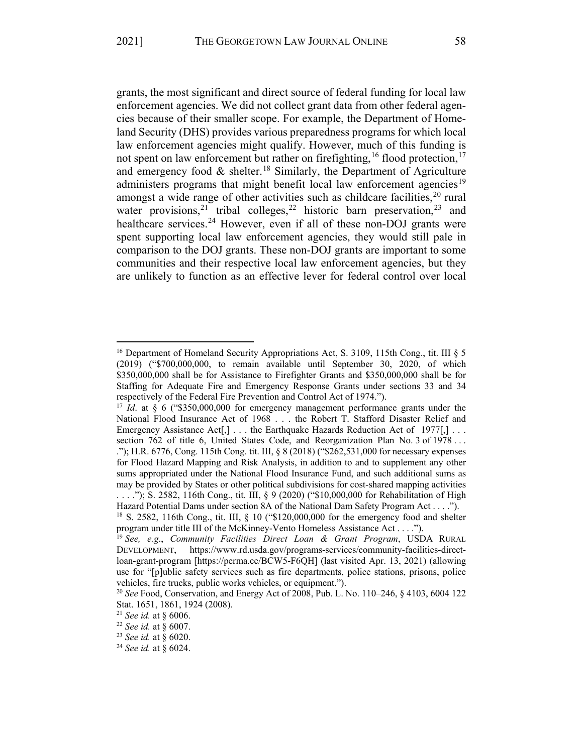<span id="page-4-9"></span>grants, the most significant and direct source of federal funding for local law enforcement agencies. We did not collect grant data from other federal agencies because of their smaller scope. For example, the Department of Homeland Security (DHS) provides various preparedness programs for which local law enforcement agencies might qualify. However, much of this funding is not spent on law enforcement but rather on firefighting, <sup>[16](#page-4-0)</sup> flood protection, <sup>[17](#page-4-1)</sup> and emergency food  $\&$  shelter.<sup>[18](#page-4-2)</sup> Similarly, the Department of Agriculture administers programs that might benefit local law enforcement agencies<sup>[19](#page-4-3)</sup> amongst a wide range of other activities such as childcare facilities, $^{20}$  $^{20}$  $^{20}$  rural water provisions, <sup>[21](#page-4-5)</sup> tribal colleges, <sup>[22](#page-4-6)</sup> historic barn preservation, <sup>[23](#page-4-7)</sup> and healthcare services.<sup>[24](#page-4-8)</sup> However, even if all of these non-DOJ grants were spent supporting local law enforcement agencies, they would still pale in comparison to the DOJ grants. These non-DOJ grants are important to some communities and their respective local law enforcement agencies, but they are unlikely to function as an effective lever for federal control over local

<span id="page-4-0"></span><sup>&</sup>lt;sup>16</sup> Department of Homeland Security Appropriations Act, S. 3109, 115th Cong., tit. III § 5 (2019) ("\$700,000,000, to remain available until September 30, 2020, of which \$350,000,000 shall be for Assistance to Firefighter Grants and \$350,000,000 shall be for Staffing for Adequate Fire and Emergency Response Grants under sections 33 and 34 respectively of the Federal Fire Prevention and Control Act of 1974."). 17 *Id*. at § 6 ("\$350,000,000 for emergency management performance grants under the

<span id="page-4-1"></span>National Flood Insurance Act of 1968 . . . the Robert T. Stafford Disaster Relief and Emergency Assistance Act $[\cdot]$ ... the Earthquake Hazards Reduction Act of 1977 $[\cdot]$ ... section 762 of title 6, United States Code, and Reorganization Plan No. 3 of 1978 . . . ."); H.R. 6776, Cong. 115th Cong. tit. III, § 8 (2018) ("\$262,531,000 for necessary expenses for Flood Hazard Mapping and Risk Analysis, in addition to and to supplement any other sums appropriated under the National Flood Insurance Fund, and such additional sums as may be provided by States or other political subdivisions for cost-shared mapping activities . . . ."); S. 2582, 116th Cong., tit. III, § 9 (2020) ("\$10,000,000 for Rehabilitation of High Hazard Potential Dams under section 8A of the National Dam Safety Program Act . . . .").

<span id="page-4-2"></span><sup>&</sup>lt;sup>18</sup> S. 2582, 116th Cong., tit. III, § 10 ("\$120,000,000 for the emergency food and shelter program under title III of the McKinney-Vento Homeless Assistance Act . . . .").

<span id="page-4-3"></span><sup>&</sup>lt;sup>19</sup> See, e.g., *Community Facilities Direct Loan & Grant Program*, USDA RURAL DEVELOPMENT, [https://www.rd.usda.gov/programs-services/community-facilities-direct](https://www.rd.usda.gov/programs-services/community-facilities-direct-loan-grant-program)[loan-grant-program](https://www.rd.usda.gov/programs-services/community-facilities-direct-loan-grant-program) [\[https://perma.cc/BCW5-F6QH\]](https://perma.cc/BCW5-F6QH) (last visited Apr. 13, 2021) (allowing use for "[p]ublic safety services such as fire departments, police stations, prisons, police vehicles, fire trucks, public works vehicles, or equipment.").

<span id="page-4-4"></span><sup>20</sup> *See* Food, Conservation, and Energy Act of 2008, Pub. L. No. 110–246, § 4103, 6004 122 Stat. 1651, 1861, 1924 (2008).

<span id="page-4-5"></span><sup>21</sup> *See id.* at § 6006.

<span id="page-4-6"></span><sup>22</sup> *See id.* at § 6007.

<span id="page-4-7"></span><sup>23</sup> *See id.* at § 6020.

<span id="page-4-8"></span><sup>24</sup> *See id.* at § 6024.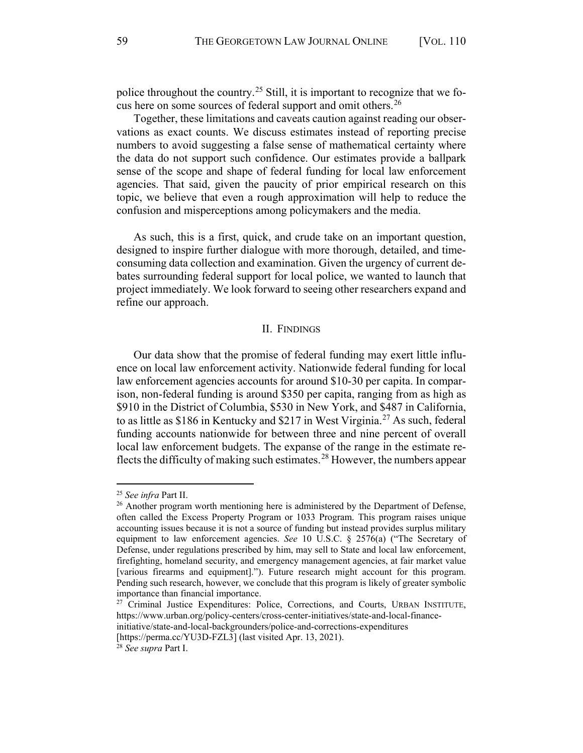police throughout the country.<sup>[25](#page-5-1)</sup> Still, it is important to recognize that we focus here on some sources of federal support and omit others.[26](#page-5-2) 

Together, these limitations and caveats caution against reading our observations as exact counts. We discuss estimates instead of reporting precise numbers to avoid suggesting a false sense of mathematical certainty where the data do not support such confidence. Our estimates provide a ballpark sense of the scope and shape of federal funding for local law enforcement agencies. That said, given the paucity of prior empirical research on this topic, we believe that even a rough approximation will help to reduce the confusion and misperceptions among policymakers and the media.

As such, this is a first, quick, and crude take on an important question, designed to inspire further dialogue with more thorough, detailed, and timeconsuming data collection and examination. Given the urgency of current debates surrounding federal support for local police, we wanted to launch that project immediately. We look forward to seeing other researchers expand and refine our approach.

### II. FINDINGS

<span id="page-5-0"></span>Our data show that the promise of federal funding may exert little influence on local law enforcement activity. Nationwide federal funding for local law enforcement agencies accounts for around \$10-30 per capita. In comparison, non-federal funding is around \$350 per capita, ranging from as high as \$910 in the District of Columbia, \$530 in New York, and \$487 in California, to as little as  $$186$  in Kentucky and  $$217$  in West Virginia.<sup>[27](#page-5-3)</sup> As such, federal funding accounts nationwide for between three and nine percent of overall local law enforcement budgets. The expanse of the range in the estimate reflects the difficulty of making such estimates.<sup>28</sup> However, the numbers appear

<span id="page-5-1"></span><sup>25</sup> *See infra* Part II.

<span id="page-5-2"></span><sup>&</sup>lt;sup>26</sup> Another program worth mentioning here is administered by the Department of Defense, often called the Excess Property Program or 1033 Program. This program raises unique accounting issues because it is not a source of funding but instead provides surplus military equipment to law enforcement agencies. *See* 10 U.S.C. § 2576(a) ("The Secretary of Defense, under regulations prescribed by him, may sell to State and local law enforcement, firefighting, homeland security, and emergency management agencies, at fair market value [various firearms and equipment]."). Future research might account for this program. Pending such research, however, we conclude that this program is likely of greater symbolic importance than financial importance. 27 Criminal Justice Expenditures: Police, Corrections, and Courts, URBAN INSTITUTE,

<span id="page-5-3"></span>[https://www.urban.org/policy-centers/cross-center-initiatives/state-and-local-finance](https://www.urban.org/policy-centers/cross-center-initiatives/state-and-local-finance-initiative/state-and-local-backgrounders/police-and-corrections-expenditures)[initiative/state-and-local-backgrounders/police-and-corrections-expenditures](https://www.urban.org/policy-centers/cross-center-initiatives/state-and-local-finance-initiative/state-and-local-backgrounders/police-and-corrections-expenditures)

<span id="page-5-4"></span>[<sup>\[</sup>https://perma.cc/YU3D-FZL3\]](https://perma.cc/YU3D-FZL3) (last visited Apr. 13, 2021). 28 *See supra* Part I.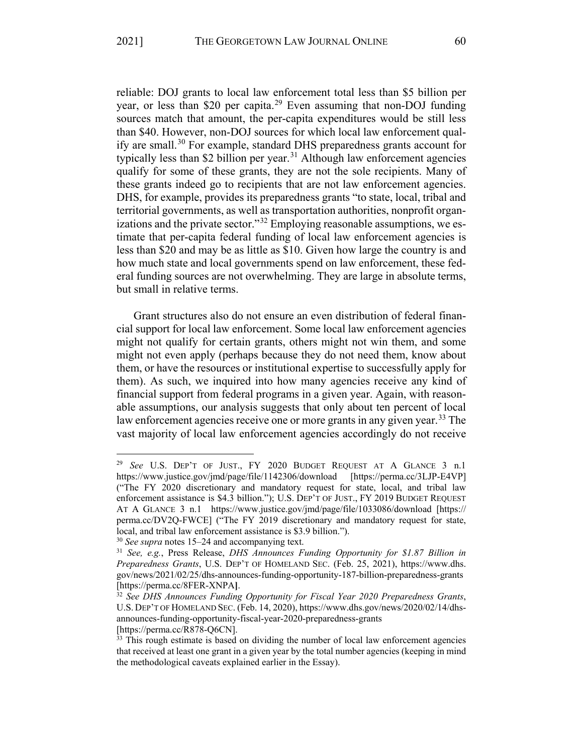$\overline{a}$ 

reliable: DOJ grants to local law enforcement total less than \$5 billion per year, or less than \$20 per capita.<sup>[29](#page-6-0)</sup> Even assuming that non-DOJ funding sources match that amount, the per-capita expenditures would be still less than \$40. However, non-DOJ sources for which local law enforcement qual-ify are small.<sup>[30](#page-6-1)</sup> For example, standard DHS preparedness grants account for typically less than \$2 billion per year.<sup>[31](#page-6-2)</sup> Although law enforcement agencies qualify for some of these grants, they are not the sole recipients. Many of these grants indeed go to recipients that are not law enforcement agencies. DHS, for example, provides its preparedness grants "to state, local, tribal and territorial governments, as well as transportation authorities, nonprofit organ-izations and the private sector."<sup>[32](#page-6-3)</sup> Employing reasonable assumptions, we estimate that per-capita federal funding of local law enforcement agencies is less than \$20 and may be as little as \$10. Given how large the country is and how much state and local governments spend on law enforcement, these federal funding sources are not overwhelming. They are large in absolute terms, but small in relative terms.

Grant structures also do not ensure an even distribution of federal financial support for local law enforcement. Some local law enforcement agencies might not qualify for certain grants, others might not win them, and some might not even apply (perhaps because they do not need them, know about them, or have the resources or institutional expertise to successfully apply for them). As such, we inquired into how many agencies receive any kind of financial support from federal programs in a given year. Again, with reasonable assumptions, our analysis suggests that only about ten percent of local law enforcement agencies receive one or more grants in any given year.<sup>33</sup> The vast majority of local law enforcement agencies accordingly do not receive

<span id="page-6-0"></span><sup>29</sup> *See* U.S. DEP'T OF JUST., FY 2020 BUDGET REQUEST AT A GLANCE 3 n.1 <https://www.justice.gov/jmd/page/file/1142306/download>[\[https://perma.cc/3LJP-E4VP\]](https://perma.cc/3LJP-E4VP) ("The FY 2020 discretionary and mandatory request for state, local, and tribal law enforcement assistance is \$4.3 billion."); U.S. DEP'T OF JUST., FY 2019 BUDGET REQUEST AT A GLANCE 3 n.1 <https://www.justice.gov/jmd/page/file/1033086/download>[\[https://](https://perma.cc/DV2Q-FWCE) [perma.cc/DV2Q-FWCE\]](https://perma.cc/DV2Q-FWCE) ("The FY 2019 discretionary and mandatory request for state, local, and tribal law enforcement assistance is \$3.9 billion."). 30 *See supra* note[s 15](#page-3-3)[–24](#page-4-9) and accompanying text.

<span id="page-6-2"></span><span id="page-6-1"></span><sup>31</sup> *See, e.g.*, Press Release, *DHS Announces Funding Opportunity for \$1.87 Billion in Preparedness Grants*, U.S. DEP'T OF HOMELAND SEC. (Feb. 25, 2021), [https://www.dhs.](https://www.dhs.gov/news/2021/02/25/dhs-announces-funding-opportunity-187-billion-preparedness-grants) [gov/news/2021/02/25/dhs-announces-funding-opportunity-187-billion-preparedness-grants](https://www.dhs.gov/news/2021/02/25/dhs-announces-funding-opportunity-187-billion-preparedness-grants) [https://perma.cc/8FER-XNPA**]**. 32 *See DHS Announces Funding Opportunity for Fiscal Year 2020 Preparedness Grants*,

<span id="page-6-3"></span>U.S. DEP'T OF HOMELAND SEC. (Feb. 14, 2020)[, https://www.dhs.gov/news/2020/02/14/dhs](https://www.dhs.gov/news/2020/02/14/dhs-announces-funding-opportunity-fiscal-year-2020-preparedness-grants)[announces-funding-opportunity-fiscal-year-2020-preparedness-grants](https://www.dhs.gov/news/2020/02/14/dhs-announces-funding-opportunity-fiscal-year-2020-preparedness-grants)

<span id="page-6-4"></span>[<sup>\[</sup>https://perma.cc/R878-Q6CN\]](https://perma.cc/R878-Q6CN).<br><sup>33</sup> This rough estimate is based on dividing the number of local law enforcement agencies that received at least one grant in a given year by the total number agencies (keeping in mind the methodological caveats explained earlier in the Essay).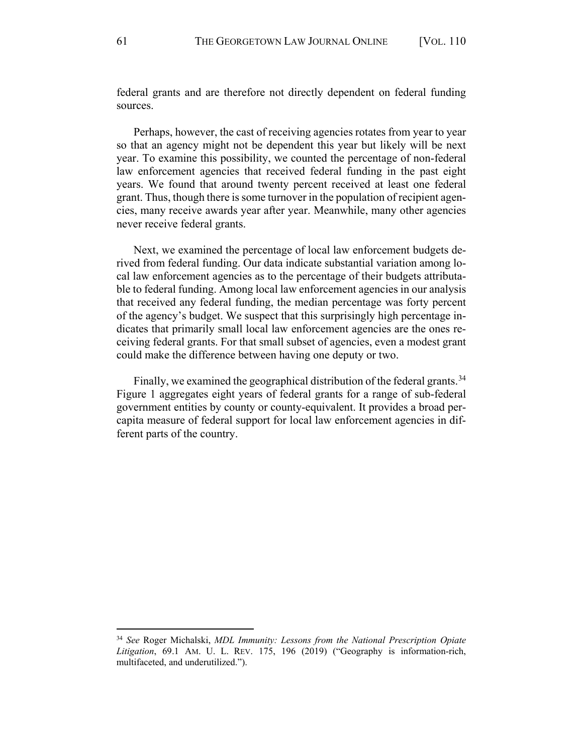federal grants and are therefore not directly dependent on federal funding sources.

Perhaps, however, the cast of receiving agencies rotates from year to year so that an agency might not be dependent this year but likely will be next year. To examine this possibility, we counted the percentage of non-federal law enforcement agencies that received federal funding in the past eight years. We found that around twenty percent received at least one federal grant. Thus, though there is some turnover in the population of recipient agencies, many receive awards year after year. Meanwhile, many other agencies never receive federal grants.

Next, we examined the percentage of local law enforcement budgets derived from federal funding. Our data indicate substantial variation among local law enforcement agencies as to the percentage of their budgets attributable to federal funding. Among local law enforcement agencies in our analysis that received any federal funding, the median percentage was forty percent of the agency's budget. We suspect that this surprisingly high percentage indicates that primarily small local law enforcement agencies are the ones receiving federal grants. For that small subset of agencies, even a modest grant could make the difference between having one deputy or two.

Finally, we examined the geographical distribution of the federal grants.<sup>[34](#page-7-0)</sup> Figure 1 aggregates eight years of federal grants for a range of sub-federal government entities by county or county-equivalent. It provides a broad percapita measure of federal support for local law enforcement agencies in different parts of the country.

<span id="page-7-0"></span><sup>34</sup> *See* Roger Michalski, *MDL Immunity: Lessons from the National Prescription Opiate Litigation*, 69.1 AM. U. L. REV. 175, 196 (2019) ("Geography is information-rich, multifaceted, and underutilized.").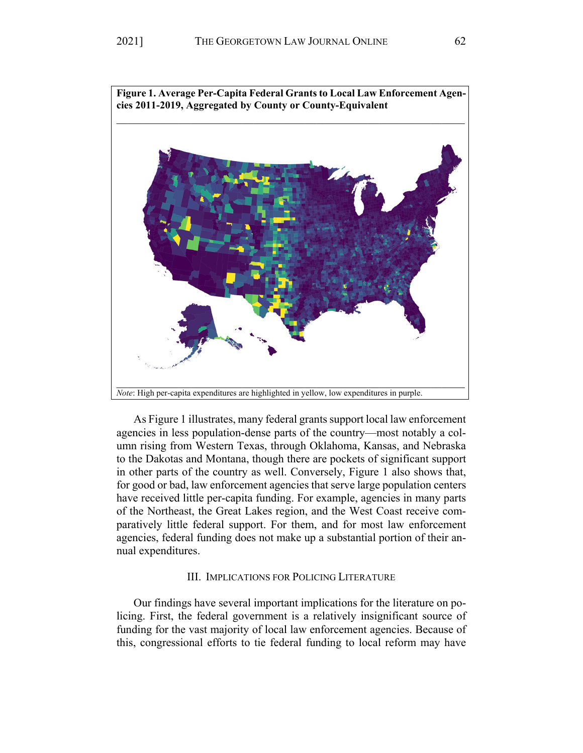

As Figure 1 illustrates, many federal grants support local law enforcement agencies in less population-dense parts of the country—most notably a column rising from Western Texas, through Oklahoma, Kansas, and Nebraska to the Dakotas and Montana, though there are pockets of significant support in other parts of the country as well. Conversely, Figure 1 also shows that, for good or bad, law enforcement agencies that serve large population centers have received little per-capita funding. For example, agencies in many parts of the Northeast, the Great Lakes region, and the West Coast receive comparatively little federal support. For them, and for most law enforcement agencies, federal funding does not make up a substantial portion of their annual expenditures.

## III. IMPLICATIONS FOR POLICING LITERATURE

Our findings have several important implications for the literature on policing. First, the federal government is a relatively insignificant source of funding for the vast majority of local law enforcement agencies. Because of this, congressional efforts to tie federal funding to local reform may have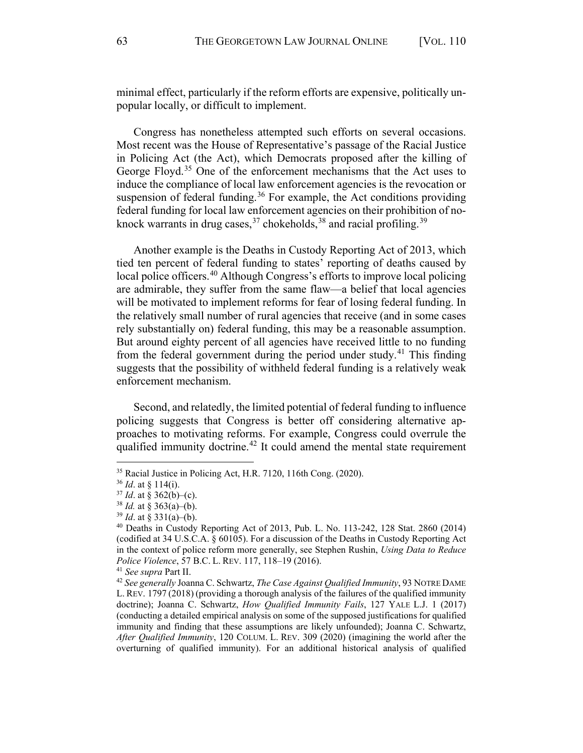minimal effect, particularly if the reform efforts are expensive, politically unpopular locally, or difficult to implement.

Congress has nonetheless attempted such efforts on several occasions. Most recent was the House of Representative's passage of the Racial Justice in Policing Act (the Act), which Democrats proposed after the killing of George Floyd.<sup>[35](#page-9-0)</sup> One of the enforcement mechanisms that the Act uses to induce the compliance of local law enforcement agencies is the revocation or suspension of federal funding.<sup>[36](#page-9-1)</sup> For example, the Act conditions providing federal funding for local law enforcement agencies on their prohibition of noknock warrants in drug cases,  $37$  chokeholds,  $38$  and racial profiling.  $39$ 

Another example is the Deaths in Custody Reporting Act of 2013, which tied ten percent of federal funding to states' reporting of deaths caused by local police officers.<sup>[40](#page-9-5)</sup> Although Congress's efforts to improve local policing are admirable, they suffer from the same flaw—a belief that local agencies will be motivated to implement reforms for fear of losing federal funding. In the relatively small number of rural agencies that receive (and in some cases rely substantially on) federal funding, this may be a reasonable assumption. But around eighty percent of all agencies have received little to no funding from the federal government during the period under study.<sup>[41](#page-9-6)</sup> This finding suggests that the possibility of withheld federal funding is a relatively weak enforcement mechanism.

Second, and relatedly, the limited potential of federal funding to influence policing suggests that Congress is better off considering alternative approaches to motivating reforms. For example, Congress could overrule the qualified immunity doctrine.<sup>[42](#page-9-7)</sup> It could amend the mental state requirement

<span id="page-9-0"></span><sup>35</sup> Racial Justice in Policing Act, H.R. 7120, 116th Cong. (2020).

<span id="page-9-1"></span><sup>36</sup> *Id*. at § 114(i).

<span id="page-9-3"></span><span id="page-9-2"></span><sup>37</sup> *Id*. at § 362(b)–(c). 38 *Id.* at § 363(a)–(b).

<span id="page-9-5"></span><span id="page-9-4"></span><sup>&</sup>lt;sup>39</sup> *Id.* at § 331(a)–(b).<br><sup>40</sup> Deaths in Custody Reporting Act of 2013, Pub. L. No. 113-242, 128 Stat. 2860 (2014) (codified at 34 U.S.C.A. § 60105). For a discussion of the Deaths in Custody Reporting Act in the context of police reform more generally, see Stephen Rushin, *Using Data to Reduce Police Violence*, 57 B.C. L. REV. 117, 118–19 (2016).<br><sup>41</sup> *See supra* Part II.<br><sup>42</sup> *See generally Joanna C. Schwartz, The Case Against Qualified Immunity*, 93 NOTRE DAME

<span id="page-9-7"></span><span id="page-9-6"></span>L. REV. 1797 (2018) (providing a thorough analysis of the failures of the qualified immunity doctrine); Joanna C. Schwartz, *How Qualified Immunity Fails*, 127 YALE L.J. 1 (2017) (conducting a detailed empirical analysis on some of the supposed justifications for qualified immunity and finding that these assumptions are likely unfounded); Joanna C. Schwartz, *After Qualified Immunity*, 120 COLUM. L. REV. 309 (2020) (imagining the world after the overturning of qualified immunity). For an additional historical analysis of qualified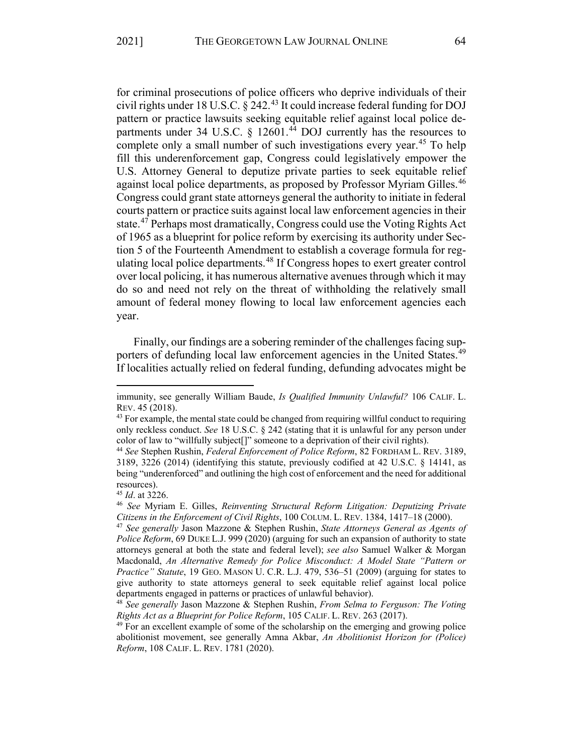for criminal prosecutions of police officers who deprive individuals of their civil rights under 18 U.S.C.  $\S$  242.<sup>[43](#page-10-0)</sup> It could increase federal funding for DOJ pattern or practice lawsuits seeking equitable relief against local police departments under 34 U.S.C.  $\frac{12601.^{44}}{100}$  $\frac{12601.^{44}}{100}$  $\frac{12601.^{44}}{100}$  currently has the resources to complete only a small number of such investigations every year.<sup>[45](#page-10-2)</sup> To help fill this underenforcement gap, Congress could legislatively empower the U.S. Attorney General to deputize private parties to seek equitable relief against local police departments, as proposed by Professor Myriam Gilles.<sup>[46](#page-10-3)</sup> Congress could grant state attorneys general the authority to initiate in federal courts pattern or practice suits against local law enforcement agencies in their state.<sup>47</sup> Perhaps most dramatically, Congress could use the Voting Rights Act of 1965 as a blueprint for police reform by exercising its authority under Section 5 of the Fourteenth Amendment to establish a coverage formula for regulating local police departments.<sup>48</sup> If Congress hopes to exert greater control over local policing, it has numerous alternative avenues through which it may do so and need not rely on the threat of withholding the relatively small amount of federal money flowing to local law enforcement agencies each year.

Finally, our findings are a sobering reminder of the challenges facing sup-porters of defunding local law enforcement agencies in the United States.<sup>[49](#page-10-6)</sup> If localities actually relied on federal funding, defunding advocates might be

immunity, see generally William Baude, *Is Qualified Immunity Unlawful?* 106 CALIF. L. REV. 45 (2018).<br> $43$  For example, the mental state could be changed from requiring willful conduct to requiring

<span id="page-10-0"></span>only reckless conduct. *See* 18 U.S.C. § 242 (stating that it is unlawful for any person under color of law to "willfully subject[]" someone to a deprivation of their civil rights).

<span id="page-10-1"></span><sup>44</sup> *See* Stephen Rushin, *Federal Enforcement of Police Reform*, 82 FORDHAM L. REV. 3189, 3189, 3226 (2014) (identifying this statute, previously codified at 42 U.S.C. § 14141, as being "underenforced" and outlining the high cost of enforcement and the need for additional resources).

<span id="page-10-3"></span><span id="page-10-2"></span><sup>&</sup>lt;sup>45</sup> *Id.* at 3226.<br><sup>46</sup> *See* Myriam E. Gilles, *Reinventing Structural Reform Litigation: Deputizing Private Citizens in the Enforcement of Civil Rights*, 100 COLUM. L. REV. 1384, 1417–18 (2000).

<span id="page-10-4"></span><sup>47</sup> *See generally* Jason Mazzone & Stephen Rushin, *State Attorneys General as Agents of Police Reform*, 69 DUKE L.J. 999 (2020) (arguing for such an expansion of authority to state attorneys general at both the state and federal level); *see also* Samuel Walker & Morgan Macdonald, *An Alternative Remedy for Police Misconduct: A Model State "Pattern or Practice" Statute*, 19 GEO. MASON U. C.R. L.J. 479, 536–51 (2009) (arguing for states to give authority to state attorneys general to seek equitable relief against local police departments engaged in patterns or practices of unlawful behavior). 48 *See generally* Jason Mazzone & Stephen Rushin, *From Selma to Ferguson: The Voting* 

<span id="page-10-5"></span>*Rights Act as a Blueprint for Police Reform*, 105 CALIF. L. REV. 263 (2017).<br><sup>49</sup> For an excellent example of some of the scholarship on the emerging and growing police

<span id="page-10-6"></span>abolitionist movement, see generally Amna Akbar, *An Abolitionist Horizon for (Police) Reform*, 108 CALIF. L. REV. 1781 (2020).